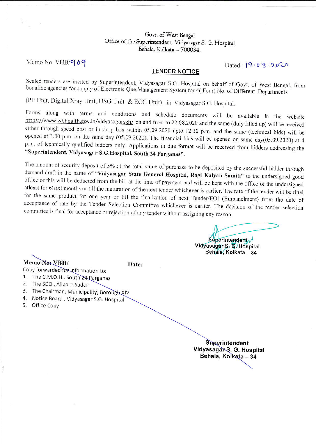## Govt. of West Bengal Office of the Superintendent, Vidyasagar S. G. Hospital Behala, Kolkata - 700034.

Memo No. VHB/909

Dated:  $[9.08.2020$ 

### **TENDER NOTICE**

Sealed tenders are invited by Superintendent, Vidyasagar S.G. Hospital on behalf of Govt. of West Bengal, from bonafide agencies for supply of Electronic Que Management System for 4(Four) No. of Different Departments

(PP Unit, Digital Xray Unit, USG Unit & ECG Unit) in Vidyasagar S.G. Hospital.

Forms along with terms and conditions and schedule documents will be available in the website https://www.wbhealth.gov.in/vidyasagarsgh/ on and from to 22.08.2020 and the same (duly filled up) will be received either through speed post or in drop box within 05.09.2020 upto 12.30 p.m. and the same (technical bids) will be opened at 3.00 p.m. on the same day (05.09.2020). The financial bids will be opened on same day(05.09.2020) at 4 p.m. of technically qualified bidders only. Applications in due format will be received from bidders addressing the "Superintendent, Vidyasagar S.G.Hospital, South 24 Parganas".

The amount of security deposit of 5% of the total value of purchase to be deposited by the successful bidder through demand draft in the name of "Vidyasagar State General Hospital, Rogi Kalyan Samiti" to the undersigned good office or this will be deducted from the bill at the time of payment and will be kept with the office of the undersigned atleast for 6(six) months or till the maturation of the next tender whichever is earlier. The rate of the tender will be final for the same product for one year or till the finalization of next Tender/EOI (Empanelment) from the date of acceptance of rate by the Tender Selection Committee whichever is earlier. The decision of the tender selection committee is final for acceptance or rejection of any tender without assigning any reason.

Superintendent

Vidyasagar S. C Hospital Behala, Kolkata - 34

Memo No: VBH/

Date:

Copy forwarded for information to:

- 1. The C.M.O.H., South 24 Parganas
- 2. The SDO, Alipore Sadar
- 3. The Chairman, Municipality, Borough XIV
- 4. Notice Board, Vidyasagar S.G. Hospital
- 5. Office Copy

Superintendent Vidyasagar S. G. Hospital Behala, Kolkata - 34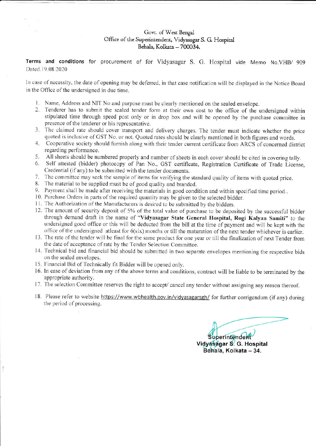## Govt. of West Bengal Office of the Superintendent, Vidyasagar S. G. Hospital Behala, Kolkata - 700034.

Terms and conditions for procurement of for Vidyasagar S. G. Hospital vide Memo No.VHB/ 909 Dated.19.08.2020

In case of necessity, the date of opening may be deferred, in that case notification will be displayed in the Notice Board in the Office of the undersigned in due time.

- 1. Name, Address and NIT No and purpose must be clearly mentioned on the sealed envelope.
- 2. Tenderer has to submit the sealed tender form at their own cost to the office of the undersigned within stipulated time through speed post only or in drop box and will be opened by the purchase committee in presence of the tenderer or his representative
- 3. The claimed rate should cover transport and delivery charges. The tender must indicate whether the price
- quoted is inclusive of GST No. or not. Quoted rates should be clearly mentioned in both figures and words.<br>4. Cooperative society should furnish along with their tender current certificate from ARCS of concerned district regarding performance.<br>5. All sheets should be numbered properly and number of sheets in each cover should be cited in covering tally.
- 
- 6. Self attested (bidder) photocopy of Pan No., GST certificate, Registration Certificate of Trade License, Credential (ifany) to be submitted with the tender documents.
- 7. The committee may seek the sample of items for verifying the standard quality of items with quoted price.
- 8. The material to be supplied must be of good quality and branded.
- 9. Paymert shall be made after receiving the materials in good condition and within specified time period..
- 10. Purchase Orders in parts of the required quantity may be given to the selected bidder.
- 11. The Authorization of the Manufacturers is desired to be submitted by the bidders.
- 12. The amount of security deposit of 5% of the total value of purchase to be deposited by the successful bidder through demand draft in the name of "Vidyasagar State General Hospital, Rogi Kalyan Samiti" to the undersigned good office or this will be deducted from the bill at the time of payment and will be kept with the office of the undersigned atleast for  $6(six)$  months or till the maturation of the next tender whichever is earlier.
- 13. The rate of the tender will be final for the same product for one year or till the finalization of next Tender from the date of acceptance of rate by the Tender Selection Committee.
- 14. Technical bid and financial bid should be submitted in two separate envelopes mentioning the respective bids on the sealed envelopes.
- 15. Financial Bid of Technically fit Bidder will be opened only.
- 16. In case of deviation from any of the above terms and conditions, contract will be liable to be terminated by the appropriate authority.
- 17. The selection Committee reserves the right to accept/ cancel any tender without assigning any reason thereof.
- 18. Please refer to website https://www.wbhealth.gov.in/vidyasagarsgh/ for further corrigendum (if any) during the period of processing.

Superintenden Vidyasagar S. G. Hospital Behala, Kolkata - 34.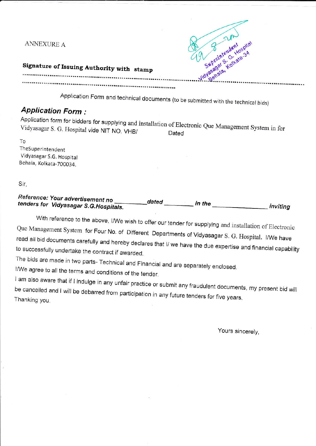**ANNEXURE A** 



# Signature of Issuing Authority with stamp

Application Form and technical documents (to be submitted with the technical bids)

## **Application Form:**

| relication form for placers for supplying and installation of Electronic Que Management System in for<br>Vidyasagar S. G. Hospital vide NIT NO. VHB/ |       |  |
|------------------------------------------------------------------------------------------------------------------------------------------------------|-------|--|
|                                                                                                                                                      | Dated |  |

To TheSuperintendent Vidyasagar S.G. Hospital Behala, Kolkata-700034.

Sir,

#### Reference: Your advertisement no tenders for Vidyasagar S.G.Hospitals. inviting

With reference to the above, I/We wish to offer our tender for supplying and installation of Electronic Que Management System for Four No. of Different Departments of Vidyasagar S. G. Hospital. I/We have read all bid documents carefully and hereby declares that I/ we have the due expertise and financial capability to successfully undertake the contract if awarded.

The bids are made in two parts- Technical and Financial and are separately enclosed.

I/We agree to all the terms and conditions of the tender.

I am also aware that if I indulge in any unfair practice or submit any fraudulent documents, my present bid will be cancelled and I will be debarred from participation in any future tenders for five years. Thanking you.

Yours sincerely,